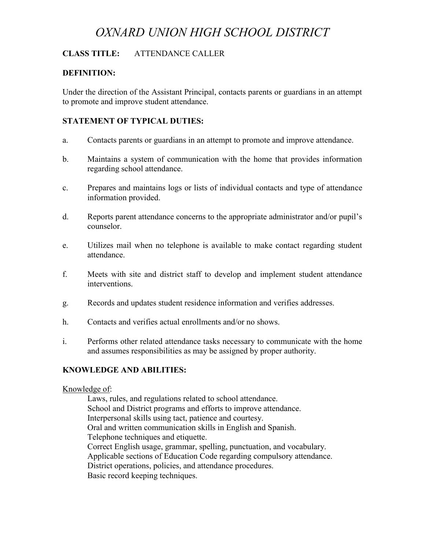# *OXNARD UNION HIGH SCHOOL DISTRICT*

# **CLASS TITLE:** ATTENDANCE CALLER

## **DEFINITION:**

Under the direction of the Assistant Principal, contacts parents or guardians in an attempt to promote and improve student attendance.

## **STATEMENT OF TYPICAL DUTIES:**

- a. Contacts parents or guardians in an attempt to promote and improve attendance.
- b. Maintains a system of communication with the home that provides information regarding school attendance.
- c. Prepares and maintains logs or lists of individual contacts and type of attendance information provided.
- d. Reports parent attendance concerns to the appropriate administrator and/or pupil's counselor.
- e. Utilizes mail when no telephone is available to make contact regarding student attendance.
- f. Meets with site and district staff to develop and implement student attendance interventions.
- g. Records and updates student residence information and verifies addresses.
- h. Contacts and verifies actual enrollments and/or no shows.
- i. Performs other related attendance tasks necessary to communicate with the home and assumes responsibilities as may be assigned by proper authority.

#### **KNOWLEDGE AND ABILITIES:**

#### Knowledge of:

Laws, rules, and regulations related to school attendance. School and District programs and efforts to improve attendance. Interpersonal skills using tact, patience and courtesy. Oral and written communication skills in English and Spanish. Telephone techniques and etiquette. Correct English usage, grammar, spelling, punctuation, and vocabulary. Applicable sections of Education Code regarding compulsory attendance. District operations, policies, and attendance procedures. Basic record keeping techniques.